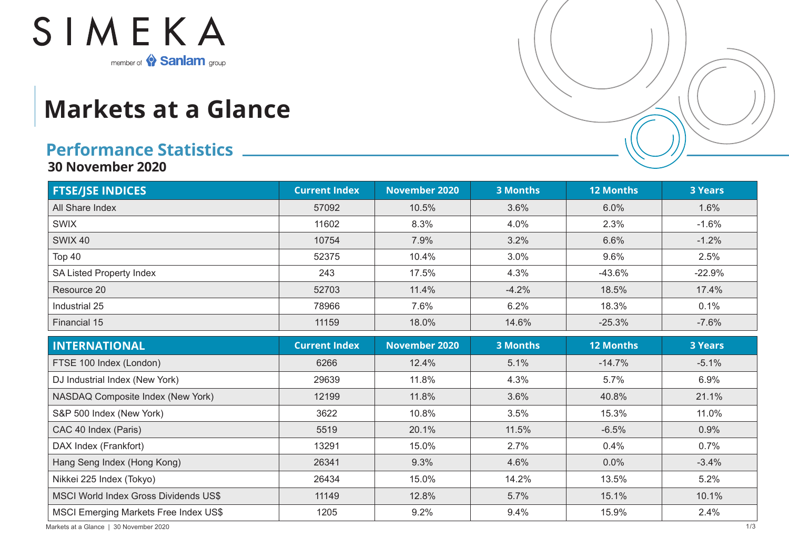

## **Markets at a Glance**

## **Performance Statistics**

**30 November 2020**

| <b>FTSE/JSE INDICES</b>                      | <b>Current Index</b> | <b>November 2020</b> | <b>3 Months</b> | <b>12 Months</b> | <b>3 Years</b> |
|----------------------------------------------|----------------------|----------------------|-----------------|------------------|----------------|
| All Share Index                              | 57092                | 10.5%                | 3.6%            | 6.0%             | 1.6%           |
| <b>SWIX</b>                                  | 11602                | 8.3%                 | 4.0%            | 2.3%             | $-1.6%$        |
| <b>SWIX 40</b>                               | 10754                | 7.9%                 | 3.2%            | 6.6%             | $-1.2%$        |
| Top 40                                       | 52375                | 10.4%                | 3.0%            | 9.6%             | 2.5%           |
| <b>SA Listed Property Index</b>              | 243                  | 17.5%                | 4.3%            | $-43.6%$         | $-22.9%$       |
| Resource 20                                  | 52703                | 11.4%                | $-4.2%$         | 18.5%            | 17.4%          |
| Industrial 25                                | 78966                | 7.6%                 | 6.2%            | 18.3%            | 0.1%           |
| Financial 15                                 | 11159                | 18.0%                | 14.6%           | $-25.3%$         | $-7.6%$        |
| <b>INTERNATIONAL</b>                         | <b>Current Index</b> | <b>November 2020</b> | <b>3 Months</b> | <b>12 Months</b> | <b>3 Years</b> |
| FTSE 100 Index (London)                      | 6266                 | 12.4%                | 5.1%            | $-14.7%$         | $-5.1%$        |
| DJ Industrial Index (New York)               | 29639                | 11.8%                | 4.3%            | 5.7%             | 6.9%           |
| NASDAQ Composite Index (New York)            | 12199                | 11.8%                | 3.6%            | 40.8%            | 21.1%          |
| S&P 500 Index (New York)                     | 3622                 | 10.8%                | 3.5%            | 15.3%            | 11.0%          |
| CAC 40 Index (Paris)                         | 5519                 | 20.1%                | 11.5%           | $-6.5%$          | 0.9%           |
| DAX Index (Frankfort)                        | 13291                | 15.0%                | 2.7%            | 0.4%             | 0.7%           |
| Hang Seng Index (Hong Kong)                  | 26341                | 9.3%                 | 4.6%            | 0.0%             | $-3.4%$        |
| Nikkei 225 Index (Tokyo)                     | 26434                | 15.0%                | 14.2%           | 13.5%            | 5.2%           |
| <b>MSCI World Index Gross Dividends US\$</b> | 11149                | 12.8%                | 5.7%            | 15.1%            | 10.1%          |
| <b>MSCI Emerging Markets Free Index US\$</b> | 1205                 | 9.2%                 | 9.4%            | 15.9%            | 2.4%           |

Markets at a Glance | 30 November 2020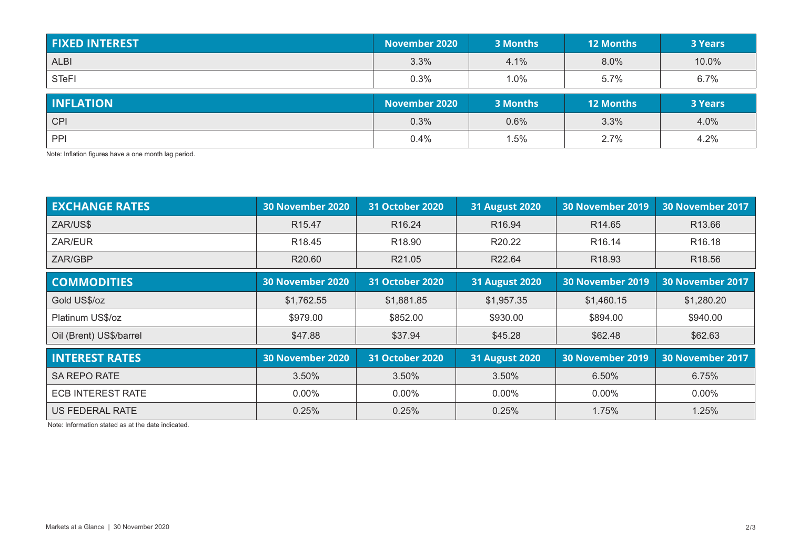| <b>FIXED INTEREST</b> | November 2020 | 3 Months | <b>12 Months</b> | <b>3 Years</b> |
|-----------------------|---------------|----------|------------------|----------------|
| <b>ALBI</b>           | 3.3%          | 4.1%     | 8.0%             | 10.0%          |
| <b>STeFI</b>          | 0.3%          | 1.0%     | 5.7%             | 6.7%           |
|                       |               |          |                  |                |
| <b>INFLATION</b>      | November 2020 | 3 Months | <b>12 Months</b> | <b>3 Years</b> |
| <b>CPI</b>            | 0.3%          | 0.6%     | 3.3%             | 4.0%           |

Note: Inflation figures have a one month lag period.

| <b>EXCHANGE RATES</b>    | <b>30 November 2020</b> | <b>31 October 2020</b> | <b>31 August 2020</b> | <b>30 November 2019</b> | 30 November 2017        |
|--------------------------|-------------------------|------------------------|-----------------------|-------------------------|-------------------------|
| ZAR/US\$                 | R <sub>15.47</sub>      | R <sub>16.24</sub>     | R <sub>16.94</sub>    | R14.65                  | R <sub>13.66</sub>      |
| ZAR/EUR                  | R <sub>18.45</sub>      | R <sub>18.90</sub>     | R20.22                | R <sub>16.14</sub>      | R <sub>16.18</sub>      |
| ZAR/GBP                  | R20.60                  | R21.05                 | R22.64                | R <sub>18.93</sub>      | R <sub>18.56</sub>      |
| <b>COMMODITIES</b>       | <b>30 November 2020</b> | <b>31 October 2020</b> | <b>31 August 2020</b> | <b>30 November 2019</b> | <b>30 November 2017</b> |
| Gold US\$/oz             | \$1,762.55              | \$1,881.85             | \$1,957.35            | \$1,460.15              | \$1,280.20              |
| Platinum US\$/oz         | \$979.00                | \$852.00               | \$930.00              | \$894.00                | \$940.00                |
| Oil (Brent) US\$/barrel  | \$47.88                 | \$37.94                | \$45.28               | \$62.48                 | \$62.63                 |
| <b>INTEREST RATES</b>    | <b>30 November 2020</b> | <b>31 October 2020</b> | <b>31 August 2020</b> | <b>30 November 2019</b> | 30 November 2017        |
| SA REPO RATE             | 3.50%                   | 3.50%                  | 3.50%                 | 6.50%                   | 6.75%                   |
| <b>ECB INTEREST RATE</b> | $0.00\%$                | $0.00\%$               | $0.00\%$              | $0.00\%$                | $0.00\%$                |
| <b>US FEDERAL RATE</b>   | 0.25%                   | 0.25%                  | 0.25%                 | 1.75%                   | 1.25%                   |

Note: Information stated as at the date indicated.